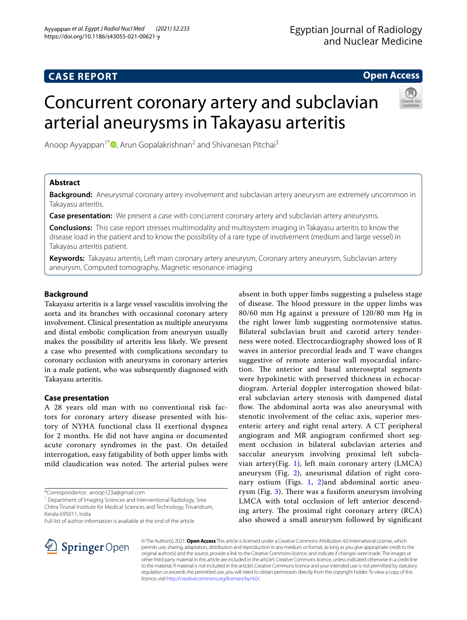# **CASE REPORT**

# **Open Access**

# Concurrent coronary artery and subclavian arterial aneurysms in Takayasu arteritis



Anoop Ayyappan<sup>1[\\*](http://orcid.org/0000-0001-5552-810X)</sup>  $\bullet$ , Arun Gopalakrishnan<sup>2</sup> and Shivanesan Pitchai<sup>3</sup>

# **Abstract**

**Background:** Aneurysmal coronary artery involvement and subclavian artery aneurysm are extremely uncommon in Takayasu arteritis.

**Case presentation:** We present a case with concurrent coronary artery and subclavian artery aneurysms.

**Conclusions:** This case report stresses multimodality and multisystem imaging in Takayasu arteritis to know the disease load in the patient and to know the possibility of a rare type of involvement (medium and large vessel) in Takayasu arteritis patient.

**Keywords:** Takayasu arteritis, Left main coronary artery aneurysm, Coronary artery aneurysm, Subclavian artery aneurysm, Computed tomography, Magnetic resonance imaging

# **Background**

Takayasu arteritis is a large vessel vasculitis involving the aorta and its branches with occasional coronary artery involvement. Clinical presentation as multiple aneurysms and distal embolic complication from aneurysm usually makes the possibility of arteritis less likely. We present a case who presented with complications secondary to coronary occlusion with aneurysms in coronary arteries in a male patient, who was subsequently diagnosed with Takayasu arteritis.

# **Case presentation**

A 28 years old man with no conventional risk factors for coronary artery disease presented with history of NYHA functional class II exertional dyspnea for 2 months. He did not have angina or documented acute coronary syndromes in the past. On detailed interrogation, easy fatigability of both upper limbs with mild claudication was noted. The arterial pulses were

\*Correspondence: anoop123a@gmail.com

<sup>1</sup> Department of Imaging Sciences and Interventional Radiology, Sree Chitra Tirunal Institute for Medical Sciences and Technology, Trivandrum, Kerala 695011, India

Full list of author information is available at the end of the article

absent in both upper limbs suggesting a pulseless stage of disease. The blood pressure in the upper limbs was 80/60 mm Hg against a pressure of 120/80 mm Hg in the right lower limb suggesting normotensive status. Bilateral subclavian bruit and carotid artery tenderness were noted. Electrocardiography showed loss of R waves in anterior precordial leads and T wave changes suggestive of remote anterior wall myocardial infarction. The anterior and basal anteroseptal segments were hypokinetic with preserved thickness in echocardiogram. Arterial doppler interrogation showed bilateral subclavian artery stenosis with dampened distal flow. The abdominal aorta was also aneurysmal with stenotic involvement of the celiac axis, superior mesenteric artery and right renal artery. A CT peripheral angiogram and MR angiogram confrmed short segment occlusion in bilateral subclavian arteries and saccular aneurysm involving proximal left subcla-vian artery(Fig. [1](#page-1-0)), left main coronary artery  $(LMCA)$ aneurysm (Fig. [2](#page-1-1)), aneurismal dilation of right coronary ostium (Figs. [1](#page-1-0), [2](#page-1-1))and abdominal aortic aneurysm (Fig.  $3$ ). There was a fusiform aneurysm involving LMCA with total occlusion of left anterior descending artery. The proximal right coronary artery  $(RCA)$ also showed a small aneurysm followed by signifcant



© The Author(s) 2021. **Open Access** This article is licensed under a Creative Commons Attribution 4.0 International License, which permits use, sharing, adaptation, distribution and reproduction in any medium or format, as long as you give appropriate credit to the original author(s) and the source, provide a link to the Creative Commons licence, and indicate if changes were made. The images or other third party material in this article are included in the article's Creative Commons licence, unless indicated otherwise in a credit line to the material. If material is not included in the article's Creative Commons licence and your intended use is not permitted by statutory regulation or exceeds the permitted use, you will need to obtain permission directly from the copyright holder. To view a copy of this licence, visit [http://creativecommons.org/licenses/by/4.0/.](http://creativecommons.org/licenses/by/4.0/)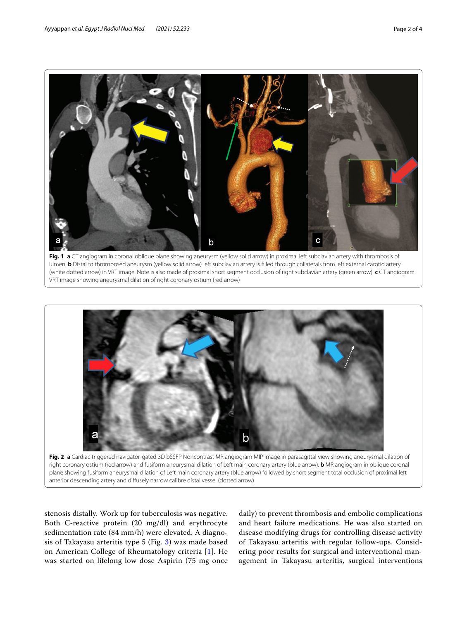

<span id="page-1-0"></span>



<span id="page-1-1"></span>right coronary ostium (red arrow) and fusiform aneurysmal dilation of Left main coronary artery (blue arrow). **b** MR angiogram in oblique coronal plane showing fusiform aneurysmal dilation of Left main coronary artery (blue arrow) followed by short segment total occlusion of proximal left anterior descending artery and difusely narrow calibre distal vessel (dotted arrow)

stenosis distally. Work up for tuberculosis was negative. Both C-reactive protein (20 mg/dl) and erythrocyte sedimentation rate (84 mm/h) were elevated. A diagnosis of Takayasu arteritis type 5 (Fig. [3\)](#page-2-0) was made based on American College of Rheumatology criteria [\[1](#page-3-0)]. He was started on lifelong low dose Aspirin (75 mg once

daily) to prevent thrombosis and embolic complications and heart failure medications. He was also started on disease modifying drugs for controlling disease activity of Takayasu arteritis with regular follow-ups. Considering poor results for surgical and interventional management in Takayasu arteritis, surgical interventions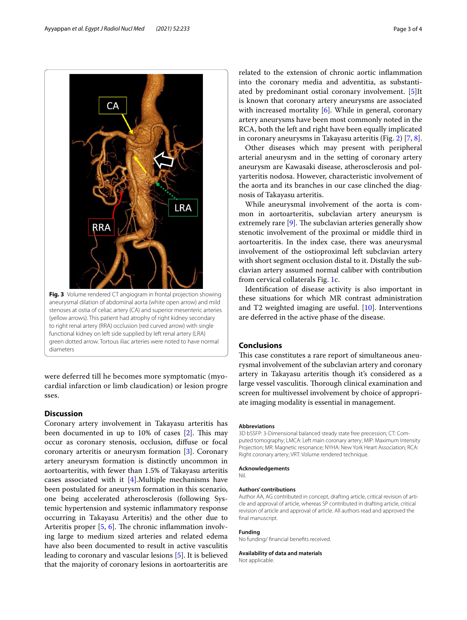<span id="page-2-0"></span>were deferred till he becomes more symptomatic (myocardial infarction or limb claudication) or lesion progre sses.

# **Discussion**

Coronary artery involvement in Takayasu arteritis has been documented in up to  $10\%$  of cases  $[2]$  $[2]$ . This may occur as coronary stenosis, occlusion, difuse or focal coronary arteritis or aneurysm formation [\[3](#page-3-2)]. Coronary artery aneurysm formation is distinctly uncommon in aortoarteritis, with fewer than 1.5% of Takayasu arteritis cases associated with it [\[4\]](#page-3-3).Multiple mechanisms have been postulated for aneurysm formation in this scenario, one being accelerated atherosclerosis (following Systemic hypertension and systemic infammatory response occurring in Takayasu Arteritis) and the other due to Arteritis proper  $[5, 6]$  $[5, 6]$  $[5, 6]$  $[5, 6]$ . The chronic inflammation involving large to medium sized arteries and related edema have also been documented to result in active vasculitis leading to coronary and vascular lesions [\[5](#page-3-4)]. It is believed that the majority of coronary lesions in aortoarteritis are

related to the extension of chronic aortic infammation into the coronary media and adventitia, as substantiated by predominant ostial coronary involvement. [\[5](#page-3-4)]It is known that coronary artery aneurysms are associated with increased mortality [\[6](#page-3-5)]. While in general, coronary artery aneurysms have been most commonly noted in the RCA, both the left and right have been equally implicated in coronary aneurysms in Takayasu arteritis (Fig. [2](#page-1-1)) [[7,](#page-3-6) [8](#page-3-7)].

Other diseases which may present with peripheral arterial aneurysm and in the setting of coronary artery aneurysm are Kawasaki disease, atherosclerosis and polyarteritis nodosa. However, characteristic involvement of the aorta and its branches in our case clinched the diagnosis of Takayasu arteritis.

While aneurysmal involvement of the aorta is common in aortoarteritis, subclavian artery aneurysm is extremely rare  $[9]$  $[9]$ . The subclavian arteries generally show stenotic involvement of the proximal or middle third in aortoarteritis. In the index case, there was aneurysmal involvement of the ostioproximal left subclavian artery with short segment occlusion distal to it. Distally the subclavian artery assumed normal caliber with contribution from cervical collaterals Fig. [1c](#page-1-0).

Identifcation of disease activity is also important in these situations for which MR contrast administration and T2 weighted imaging are useful. [[10\]](#page-3-9). Interventions are deferred in the active phase of the disease.

# **Conclusions**

This case constitutes a rare report of simultaneous aneurysmal involvement of the subclavian artery and coronary artery in Takayasu arteritis though it's considered as a large vessel vasculitis. Thorough clinical examination and screen for multivessel involvement by choice of appropriate imaging modality is essential in management.

### **Abbreviations**

3D bSSFP: 3-Dimensional balanced steady state free precession; CT: Computed tomography; LMCA: Left main coronary artery; MIP: Maximum Intensity Projection; MR: Magnetic resonance; NYHA: New York Heart Association; RCA: Right coronary artery; VRT: Volume rendered technique.

#### **Acknowledgements**

### **Authors' contributions**

Author AA, AG contributed in concept, drafting article, critical revision of article and approval of article, whereas SP contributed in drafting article, critical revision of article and approval of article. All authors read and approved the final manuscript.

### **Funding**

Nil.

No funding/ fnancial benefts received.

# **Availability of data and materials**

Not applicable.



CА